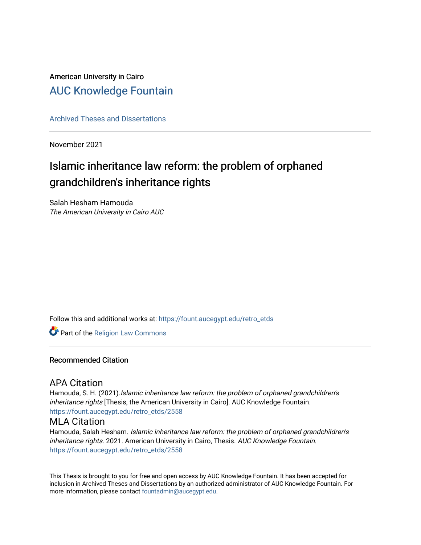## American University in Cairo [AUC Knowledge Fountain](https://fount.aucegypt.edu/)

[Archived Theses and Dissertations](https://fount.aucegypt.edu/retro_etds) 

November 2021

# Islamic inheritance law reform: the problem of orphaned grandchildren's inheritance rights

Salah Hesham Hamouda The American University in Cairo AUC

Follow this and additional works at: [https://fount.aucegypt.edu/retro\\_etds](https://fount.aucegypt.edu/retro_etds?utm_source=fount.aucegypt.edu%2Fretro_etds%2F2558&utm_medium=PDF&utm_campaign=PDFCoverPages) 

Part of the [Religion Law Commons](http://network.bepress.com/hgg/discipline/872?utm_source=fount.aucegypt.edu%2Fretro_etds%2F2558&utm_medium=PDF&utm_campaign=PDFCoverPages)

#### Recommended Citation

## APA Citation

Hamouda, S. H. (2021).Islamic inheritance law reform: the problem of orphaned grandchildren's inheritance rights [Thesis, the American University in Cairo]. AUC Knowledge Fountain. [https://fount.aucegypt.edu/retro\\_etds/2558](https://fount.aucegypt.edu/retro_etds/2558?utm_source=fount.aucegypt.edu%2Fretro_etds%2F2558&utm_medium=PDF&utm_campaign=PDFCoverPages) 

### MLA Citation

Hamouda, Salah Hesham. Islamic inheritance law reform: the problem of orphaned grandchildren's inheritance rights. 2021. American University in Cairo, Thesis. AUC Knowledge Fountain. [https://fount.aucegypt.edu/retro\\_etds/2558](https://fount.aucegypt.edu/retro_etds/2558?utm_source=fount.aucegypt.edu%2Fretro_etds%2F2558&utm_medium=PDF&utm_campaign=PDFCoverPages) 

This Thesis is brought to you for free and open access by AUC Knowledge Fountain. It has been accepted for inclusion in Archived Theses and Dissertations by an authorized administrator of AUC Knowledge Fountain. For more information, please contact [fountadmin@aucegypt.edu.](mailto:fountadmin@aucegypt.edu)